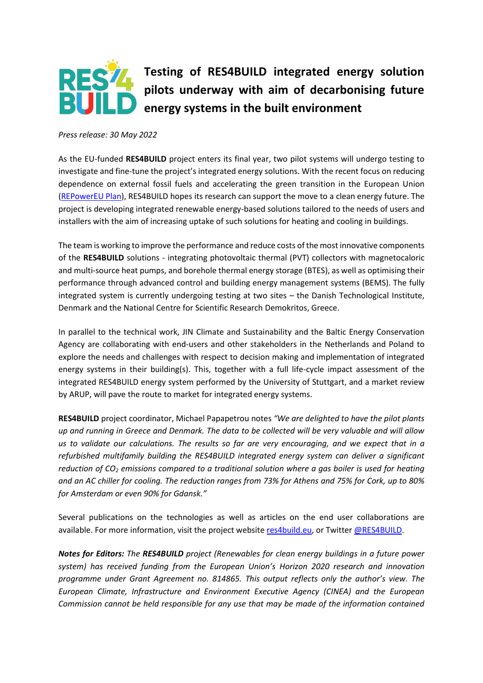

## **Testing of RES4BUILD integrated energy solution pilots underway with aim of decarbonising future Example 12 and 23 arms** in the built environment

*Press release: 30 May 2022*

As the EU-funded **RES4BUILD** project enters its final year, two pilot systems will undergo testing to investigate and fine-tune the project's integrated energy solutions. With the recent focus on reducing dependence on external fossil fuels and accelerating the green transition in the European Union [\(REPowerEU Plan\)](https://ec.europa.eu/commission/presscorner/detail/en/ip_22_3131), RES4BUILD hopes its research can support the move to a clean energy future. The project is developing integrated renewable energy-based solutions tailored to the needs of users and installers with the aim of increasing uptake of such solutions for heating and cooling in buildings.

The team is working to improve the performance and reduce costs of the most innovative components of the **RES4BUILD** solutions - integrating photovoltaic thermal (PVT) collectors with magnetocaloric and multi-source heat pumps, and borehole thermal energy storage (BTES), as well as optimising their performance through advanced control and building energy management systems (BEMS). The fully integrated system is currently undergoing testing at two sites – the Danish Technological Institute, Denmark and the National Centre for Scientific Research Demokritos, Greece.

In parallel to the technical work, JIN Climate and Sustainability and the Baltic Energy Conservation Agency are collaborating with end-users and other stakeholders in the Netherlands and Poland to explore the needs and challenges with respect to decision making and implementation of integrated energy systems in their building(s). This, together with a full life-cycle impact assessment of the integrated RES4BUILD energy system performed by the University of Stuttgart, and a market review by ARUP, will pave the route to market for integrated energy systems.

**RES4BUILD** project coordinator, Michael Papapetrou notes *"We are delighted to have the pilot plants up and running in Greece and Denmark. The data to be collected will be very valuable and will allow us to validate our calculations. The results so far are very encouraging, and we expect that in a refurbished multifamily building the RES4BUILD integrated energy system can deliver a significant reduction of CO<sup>2</sup> emissions compared to a traditional solution where a gas boiler is used for heating and an AC chiller for cooling. The reduction ranges from 73% for Athens and 75% for Cork, up to 80% for Amsterdam or even 90% for Gdansk."*

Several publications on the technologies as well as articles on the end user collaborations are available. For more information, visit the project website [res4build.eu,](http://www.res4build.eu/) or Twitte[r @RES4BUILD.](http://www.twitter.com/res4build)

*Notes for Editors: The RES4BUILD project (Renewables for clean energy buildings in a future power system) has received funding from the European Union's Horizon 2020 research and innovation programme under Grant Agreement no. 814865. This output reflects only the author's view. The European Climate, Infrastructure and Environment Executive Agency (CINEA) and the European Commission cannot be held responsible for any use that may be made of the information contained*